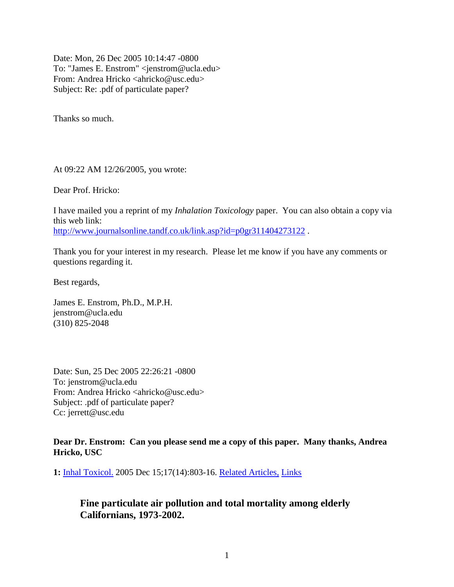Date: Mon, 26 Dec 2005 10:14:47 -0800 To: "James E. Enstrom" <jenstrom@ucla.edu> From: Andrea Hricko <ahricko@usc.edu> Subject: Re: .pdf of particulate paper?

Thanks so much.

At 09:22 AM 12/26/2005, you wrote:

Dear Prof. Hricko:

I have mailed you a reprint of my *Inhalation Toxicology* paper. You can also obtain a copy via this web link: <http://www.journalsonline.tandf.co.uk/link.asp?id=p0gr311404273122>.

Thank you for your interest in my research. Please let me know if you have any comments or questions regarding it.

Best regards,

James E. Enstrom, Ph.D., M.P.H. jenstrom@ucla.edu (310) 825-2048

Date: Sun, 25 Dec 2005 22:26:21 -0800 To: jenstrom@ucla.edu From: Andrea Hricko <ahricko@usc.edu> Subject: .pdf of particulate paper? Cc: jerrett@usc.edu

**Dear Dr. Enstrom: Can you please send me a copy of this paper. Many thanks, Andrea Hricko, USC**

**1:** [Inhal Toxicol.](http://www.ncbi.nlm.nih.govjavascript:AL_get(this,%20) 2005 Dec 15;17(14):803-16. [Related Articles,](http://www.ncbi.nlm.nih.gov/entrez/query.fcgi?db=pubmed&cmd=Display&dopt=pubmed_pubmed&from_uid=16282158) [Links](http://www.ncbi.nlm.nih.govjavascript:PopUpMenu2_Set(Menu16282158);)

## **Fine particulate air pollution and total mortality among elderly Californians, 1973-2002.**